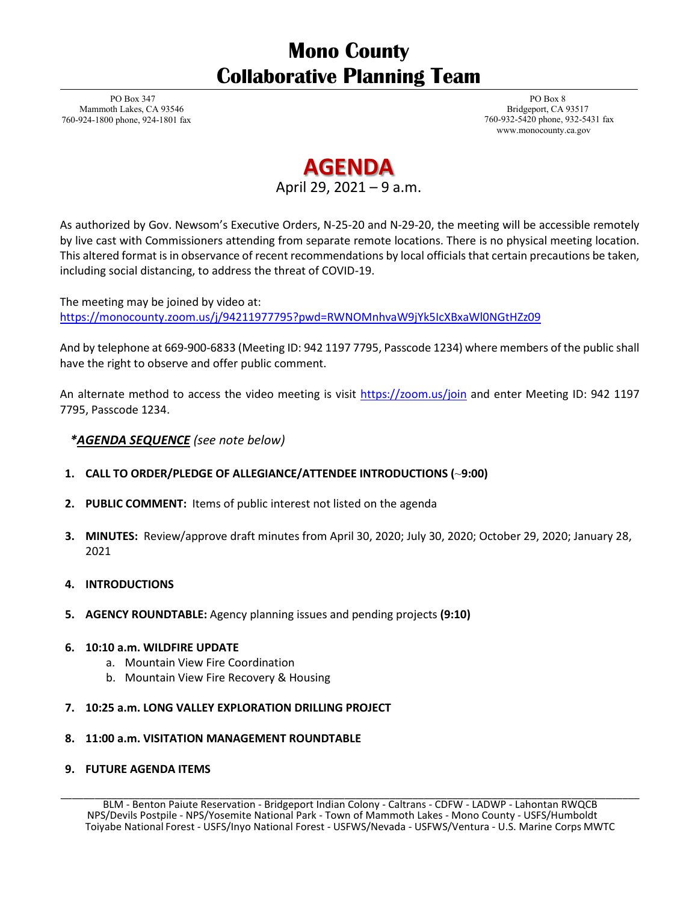## **Mono County Collaborative Planning Team**

PO Box 347 Mammoth Lakes, CA 93546 760-924-1800 phone, 924-1801 fax

PO Box 8 Bridgeport, CA 93517 760-932-5420 phone, 932-5431 fax [www.monocounty.ca.gov](http://www.monocounty.ca.gov/)

## **AGENDA**

April 29, 2021 – 9 a.m.

As authorized by Gov. Newsom's Executive Orders, N-25-20 and N-29-20, the meeting will be accessible remotely by live cast with Commissioners attending from separate remote locations. There is no physical meeting location. This altered format is in observance of recent recommendations by local officials that certain precautions be taken, including social distancing, to address the threat of COVID-19.

The meeting may be joined by video at: <https://monocounty.zoom.us/j/94211977795?pwd=RWNOMnhvaW9jYk5IcXBxaWl0NGtHZz09>

And by telephone at 669-900-6833 (Meeting ID: 942 1197 7795, Passcode 1234) where members of the public shall have the right to observe and offer public comment.

An alternate method to access the video meeting is visit<https://zoom.us/join> and enter Meeting ID: 942 1197 7795, Passcode 1234.

*\*AGENDA SEQUENCE (see note below)*

- **1. CALL TO ORDER/PLEDGE OF ALLEGIANCE/ATTENDEE INTRODUCTIONS (**~**9:00)**
- **2. PUBLIC COMMENT:** Items of public interest not listed on the agenda
- **3. MINUTES:** Review/approve draft minutes from April 30, 2020; July 30, 2020; October 29, 2020; January 28, 2021
- **4. INTRODUCTIONS**
- **5. AGENCY ROUNDTABLE:** Agency planning issues and pending projects **(9:10)**
- **6. 10:10 a.m. WILDFIRE UPDATE** 
	- a. Mountain View Fire Coordination
	- b. Mountain View Fire Recovery & Housing
- **7. 10:25 a.m. LONG VALLEY EXPLORATION DRILLING PROJECT**

## **8. 11:00 a.m. VISITATION MANAGEMENT ROUNDTABLE**

**9. FUTURE AGENDA ITEMS**